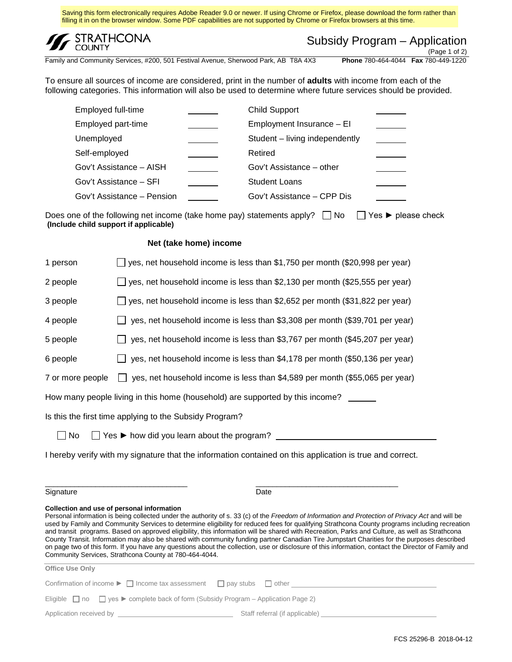Saving this form electronically requires Adobe Reader 9.0 or newer. If using Chrome or Firefox, please download the form rather than filling it in on the browser window. Some PDF capabilities are not supported by Chrome or Firefox browsers at this time.



| Subsidy Program – Application |  |
|-------------------------------|--|
|-------------------------------|--|

Family and Community Services, #200, 501 Festival Avenue, Sherwood Park, AB T8A 4X3

(Page 1 of 2)<br>Phone 780-464-4044 Fax 780-449-1220

To ensure all sources of income are considered, print in the number of **adults** with income from each of the following categories. This information will also be used to determine where future services should be provided.

| Employed full-time         | <b>Child Support</b>           |  |
|----------------------------|--------------------------------|--|
| Employed part-time         | Employment Insurance - El      |  |
| Unemployed                 | Student - living independently |  |
| Self-employed              | Retired                        |  |
| Gov't Assistance - AISH    | Gov't Assistance - other       |  |
| Gov't Assistance - SFI     | <b>Student Loans</b>           |  |
| Gov't Assistance – Pension | Gov't Assistance – CPP Dis     |  |

Does one of the following net income (take home pay) statements apply?  $\Box$  No  $\Box$  Yes ► please check **(Include child support if applicable)**

#### **Net (take home) income**

| 1 person                                                                                                  | yes, net household income is less than \$1,750 per month (\$20,998 per year)                 |  |
|-----------------------------------------------------------------------------------------------------------|----------------------------------------------------------------------------------------------|--|
| 2 people                                                                                                  | yes, net household income is less than \$2,130 per month (\$25,555 per year)                 |  |
| 3 people                                                                                                  | yes, net household income is less than \$2,652 per month (\$31,822 per year)                 |  |
| 4 people                                                                                                  | yes, net household income is less than \$3,308 per month (\$39,701 per year)                 |  |
| 5 people                                                                                                  | yes, net household income is less than \$3,767 per month (\$45,207 per year)                 |  |
| 6 people                                                                                                  | yes, net household income is less than \$4,178 per month (\$50,136 per year)                 |  |
| 7 or more people                                                                                          | yes, net household income is less than \$4,589 per month (\$55,065 per year)<br>$\mathbf{1}$ |  |
| How many people living in this home (household) are supported by this income?                             |                                                                                              |  |
| Is this the first time applying to the Subsidy Program?                                                   |                                                                                              |  |
| $\Box$ No<br>Yes ► how did you learn about the program?                                                   |                                                                                              |  |
| I hereby verify with my signature that the information contained on this application is true and correct. |                                                                                              |  |
|                                                                                                           |                                                                                              |  |

Signature Date

#### **Collection and use of personal information**

Personal information is being collected under the authority of s. 33 (c) of the *Freedom of Information and Protection of Privacy Act* and will be used by Family and Community Services to determine eligibility for reduced fees for qualifying Strathcona County programs including recreation and transit programs. Based on approved eligibility, this information will be shared with Recreation, Parks and Culture, as well as Strathcona County Transit. Information may also be shared with community funding partner Canadian Tire Jumpstart Charities for the purposes described on page two of this form. If you have any questions about the collection, use or disclosure of this information, contact the Director of Family and Community Services, Strathcona County at 780-464-4044.

| <b>Office Use Only</b>                                                                                           |                                      |  |
|------------------------------------------------------------------------------------------------------------------|--------------------------------------|--|
|                                                                                                                  |                                      |  |
| Confirmation of income $\blacktriangleright \Box$ Income tax assessment                                          | $\Box$ pay stubs $\Box$ other $\Box$ |  |
| Eligible $\Box$ no $\Box$ yes $\blacktriangleright$ complete back of form (Subsidy Program – Application Page 2) |                                      |  |
| Application received by Application and Application received by                                                  | Staff referral (if applicable)       |  |